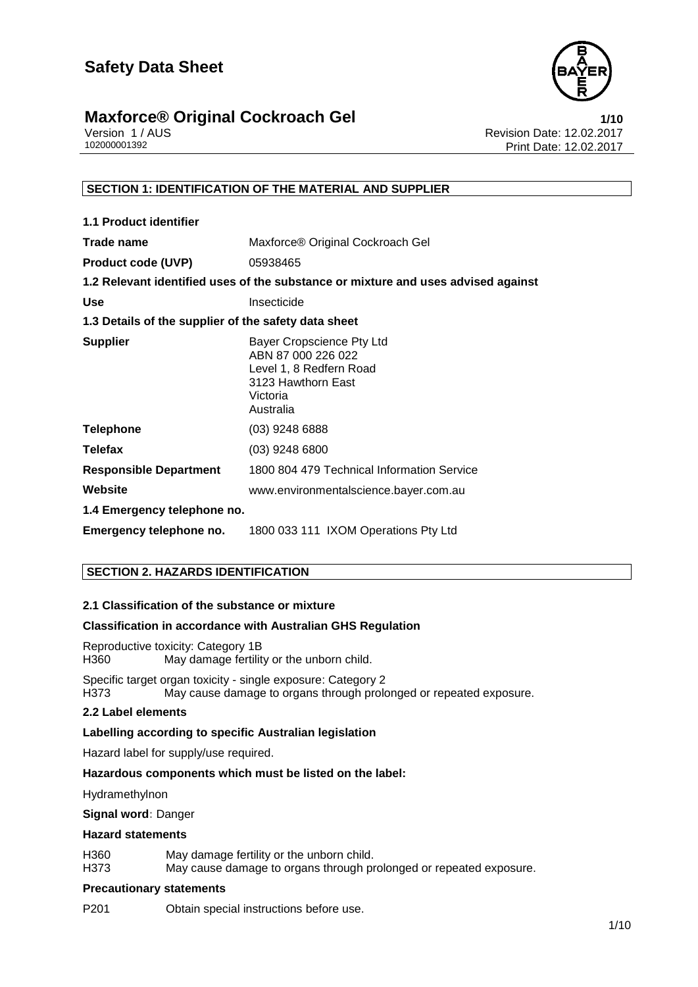

# **Maxforce® Original Cockroach Gel**<br>Version 1/AUS<br>Revision Date: 12.02.2017

Version 1 / AUS<br>10200001392<br>Print Date: 12.02.2017<br>Rint Date: 12.02.2017 Print Date: 12.02.2017

#### **SECTION 1: IDENTIFICATION OF THE MATERIAL AND SUPPLIER**

| <b>1.1 Product identifier</b>                        |                                                                                                                           |
|------------------------------------------------------|---------------------------------------------------------------------------------------------------------------------------|
| Trade name                                           | Maxforce® Original Cockroach Gel                                                                                          |
| <b>Product code (UVP)</b>                            | 05938465                                                                                                                  |
|                                                      | 1.2 Relevant identified uses of the substance or mixture and uses advised against                                         |
| <b>Use</b>                                           | Insecticide                                                                                                               |
| 1.3 Details of the supplier of the safety data sheet |                                                                                                                           |
| <b>Supplier</b>                                      | Bayer Cropscience Pty Ltd<br>ABN 87 000 226 022<br>Level 1, 8 Redfern Road<br>3123 Hawthorn East<br>Victoria<br>Australia |
| <b>Telephone</b>                                     | $(03)$ 9248 6888                                                                                                          |
| <b>Telefax</b>                                       | (03) 9248 6800                                                                                                            |
| <b>Responsible Department</b>                        | 1800 804 479 Technical Information Service                                                                                |
| Website                                              | www.environmentalscience.bayer.com.au                                                                                     |
| 1.4 Emergency telephone no.                          |                                                                                                                           |
| Emergency telephone no.                              | 1800 033 111 IXOM Operations Pty Ltd                                                                                      |

#### **SECTION 2. HAZARDS IDENTIFICATION**

#### **2.1 Classification of the substance or mixture**

#### **Classification in accordance with Australian GHS Regulation**

Reproductive toxicity: Category 1B May damage fertility or the unborn child.

Specific target organ toxicity - single exposure: Category 2 H373 May cause damage to organs through prolonged or repeated exposure.

#### **2.2 Label elements**

#### **Labelling according to specific Australian legislation**

Hazard label for supply/use required.

#### **Hazardous components which must be listed on the label:**

Hydramethylnon

**Signal word:** Danger

#### **Hazard statements**

H360 May damage fertility or the unborn child. H373 May cause damage to organs through prolonged or repeated exposure.

#### **Precautionary statements**

P201 Obtain special instructions before use.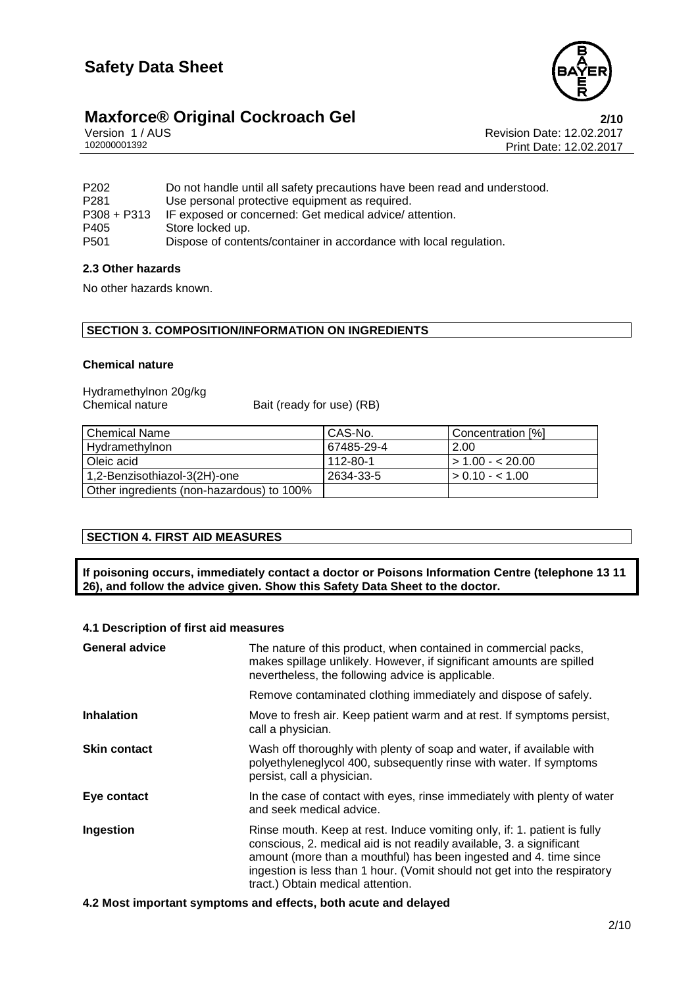

# **Maxforce® Original Cockroach Gel 2/10**<br>
Version 1/AUS **Properties 2/10**<br>
Revision Date: 12.02.2017

Version 1 / AUS **Revision Date: 12.02.2017**<br>102000001392 Print Date: 12.02.2017 Print Date: 12.02.2017

| P <sub>202</sub> | Do not handle until all safety precautions have been read and understood. |
|------------------|---------------------------------------------------------------------------|
| P <sub>281</sub> | Use personal protective equipment as required.                            |
| $P308 + P313$    | IF exposed or concerned: Get medical advice/ attention.                   |
| P405             | Store locked up.                                                          |
| P <sub>501</sub> | Dispose of contents/container in accordance with local regulation.        |

#### **2.3 Other hazards**

No other hazards known.

#### **SECTION 3. COMPOSITION/INFORMATION ON INGREDIENTS**

#### **Chemical nature**

| Hydramethylnon 20g/kg |                           |
|-----------------------|---------------------------|
| Chemical nature       | Bait (ready for use) (RB) |

| Chemical Name                             | l CAS-No.  | Concentration [%]  |
|-------------------------------------------|------------|--------------------|
| Hydramethylnon                            | 67485-29-4 | 2.00               |
| l Oleic acid                              | 112-80-1   | $1 > 1.00 - 20.00$ |
| 1,2-Benzisothiazol-3(2H)-one              | 2634-33-5  | $\geq 0.10 - 1.00$ |
| Other ingredients (non-hazardous) to 100% |            |                    |

### **SECTION 4. FIRST AID MEASURES**

**If poisoning occurs, immediately contact a doctor or Poisons Information Centre (telephone 13 11 26), and follow the advice given. Show this Safety Data Sheet to the doctor.**

#### **4.1 Description of first aid measures**

| <b>General advice</b> | The nature of this product, when contained in commercial packs,<br>makes spillage unlikely. However, if significant amounts are spilled<br>nevertheless, the following advice is applicable.                                                                                                                                            |  |
|-----------------------|-----------------------------------------------------------------------------------------------------------------------------------------------------------------------------------------------------------------------------------------------------------------------------------------------------------------------------------------|--|
|                       | Remove contaminated clothing immediately and dispose of safely.                                                                                                                                                                                                                                                                         |  |
| <b>Inhalation</b>     | Move to fresh air. Keep patient warm and at rest. If symptoms persist,<br>call a physician.                                                                                                                                                                                                                                             |  |
| <b>Skin contact</b>   | Wash off thoroughly with plenty of soap and water, if available with<br>polyethyleneglycol 400, subsequently rinse with water. If symptoms<br>persist, call a physician.                                                                                                                                                                |  |
| Eye contact           | In the case of contact with eyes, rinse immediately with plenty of water<br>and seek medical advice.                                                                                                                                                                                                                                    |  |
| Ingestion             | Rinse mouth. Keep at rest. Induce vomiting only, if: 1. patient is fully<br>conscious, 2. medical aid is not readily available, 3. a significant<br>amount (more than a mouthful) has been ingested and 4. time since<br>ingestion is less than 1 hour. (Vomit should not get into the respiratory<br>tract.) Obtain medical attention. |  |

**4.2 Most important symptoms and effects, both acute and delayed**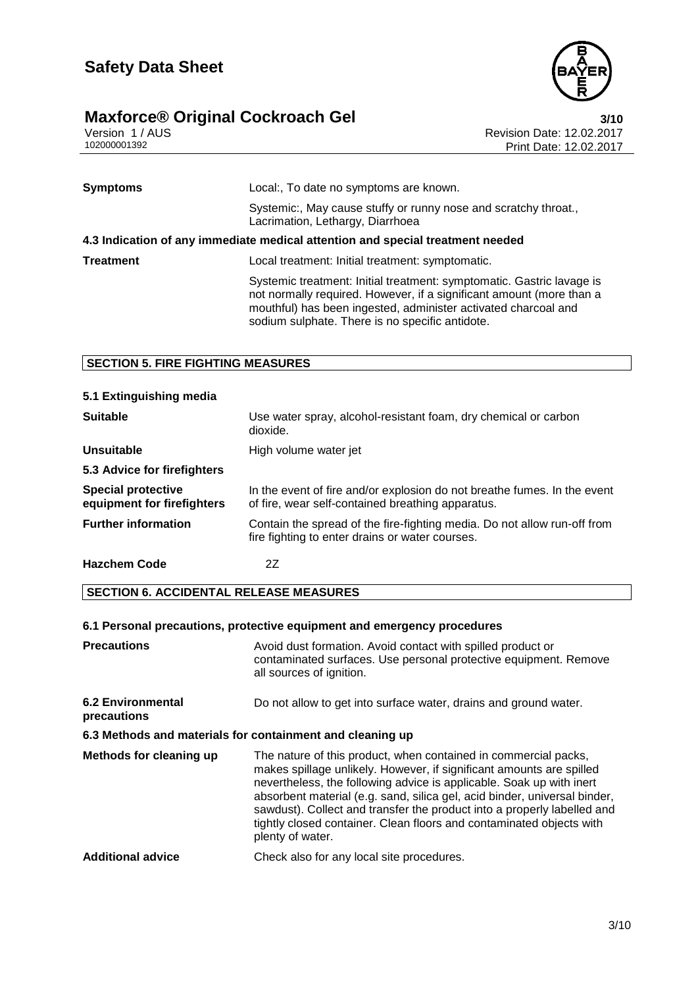

### **Maxforce®** Original Cockroach Gel **3/10**

Version 1 / AUS Revision Date: 12.02.2017 102000001392 Print Date: 12.02.2017

| <b>Symptoms</b>                                                                | Local:, To date no symptoms are known.                                                                                                                                                                                                                             |  |
|--------------------------------------------------------------------------------|--------------------------------------------------------------------------------------------------------------------------------------------------------------------------------------------------------------------------------------------------------------------|--|
|                                                                                | Systemic:, May cause stuffy or runny nose and scratchy throat.,<br>Lacrimation, Lethargy, Diarrhoea                                                                                                                                                                |  |
| 4.3 Indication of any immediate medical attention and special treatment needed |                                                                                                                                                                                                                                                                    |  |
| <b>Treatment</b>                                                               | Local treatment: Initial treatment: symptomatic.                                                                                                                                                                                                                   |  |
|                                                                                | Systemic treatment: Initial treatment: symptomatic. Gastric lavage is<br>not normally required. However, if a significant amount (more than a<br>mouthful) has been ingested, administer activated charcoal and<br>sodium sulphate. There is no specific antidote. |  |

#### **SECTION 5. FIRE FIGHTING MEASURES**

| 5.1 Extinguishing media                                 |                                                                                                                               |
|---------------------------------------------------------|-------------------------------------------------------------------------------------------------------------------------------|
| <b>Suitable</b>                                         | Use water spray, alcohol-resistant foam, dry chemical or carbon<br>dioxide.                                                   |
| <b>Unsuitable</b>                                       | High volume water jet                                                                                                         |
| 5.3 Advice for firefighters                             |                                                                                                                               |
| <b>Special protective</b><br>equipment for firefighters | In the event of fire and/or explosion do not breathe fumes. In the event<br>of fire, wear self-contained breathing apparatus. |
| <b>Further information</b>                              | Contain the spread of the fire-fighting media. Do not allow run-off from<br>fire fighting to enter drains or water courses.   |
| <b>Hazchem Code</b>                                     | 2Ζ                                                                                                                            |

#### **SECTION 6. ACCIDENTAL RELEASE MEASURES**

### **6.1 Personal precautions, protective equipment and emergency procedures**

| <b>Precautions</b>                                        | Avoid dust formation. Avoid contact with spilled product or<br>contaminated surfaces. Use personal protective equipment. Remove<br>all sources of ignition.                                                                                                                                                                                                                                                                                                         |  |
|-----------------------------------------------------------|---------------------------------------------------------------------------------------------------------------------------------------------------------------------------------------------------------------------------------------------------------------------------------------------------------------------------------------------------------------------------------------------------------------------------------------------------------------------|--|
| <b>6.2 Environmental</b><br>precautions                   | Do not allow to get into surface water, drains and ground water.                                                                                                                                                                                                                                                                                                                                                                                                    |  |
| 6.3 Methods and materials for containment and cleaning up |                                                                                                                                                                                                                                                                                                                                                                                                                                                                     |  |
| <b>Methods for cleaning up</b>                            | The nature of this product, when contained in commercial packs,<br>makes spillage unlikely. However, if significant amounts are spilled<br>nevertheless, the following advice is applicable. Soak up with inert<br>absorbent material (e.g. sand, silica gel, acid binder, universal binder,<br>sawdust). Collect and transfer the product into a properly labelled and<br>tightly closed container. Clean floors and contaminated objects with<br>plenty of water. |  |
| <b>Additional advice</b>                                  | Check also for any local site procedures.                                                                                                                                                                                                                                                                                                                                                                                                                           |  |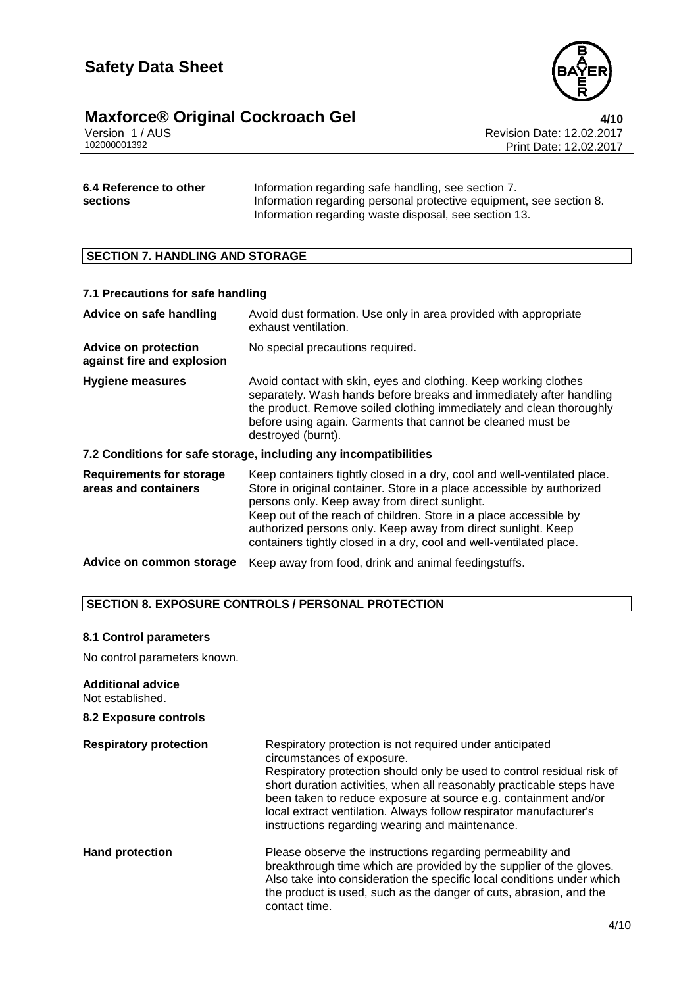

### **Maxforce® Original Cockroach Gel 4/10**

Version 1 / AUS Revision Date: 12.02.2017 102000001392 Print Date: 12.02.2017

| 6.4 Reference to other | Information regarding safe handling, see section 7.                 |
|------------------------|---------------------------------------------------------------------|
| sections               | Information regarding personal protective equipment, see section 8. |
|                        | Information regarding waste disposal, see section 13.               |

#### **SECTION 7. HANDLING AND STORAGE**

| 7.1 Precautions for safe handling                         |                                                                                                                                                                                                                                                                                                                                                                                                                  |  |
|-----------------------------------------------------------|------------------------------------------------------------------------------------------------------------------------------------------------------------------------------------------------------------------------------------------------------------------------------------------------------------------------------------------------------------------------------------------------------------------|--|
| Advice on safe handling                                   | Avoid dust formation. Use only in area provided with appropriate<br>exhaust ventilation.                                                                                                                                                                                                                                                                                                                         |  |
| <b>Advice on protection</b><br>against fire and explosion | No special precautions required.                                                                                                                                                                                                                                                                                                                                                                                 |  |
| <b>Hygiene measures</b>                                   | Avoid contact with skin, eyes and clothing. Keep working clothes<br>separately. Wash hands before breaks and immediately after handling<br>the product. Remove soiled clothing immediately and clean thoroughly<br>before using again. Garments that cannot be cleaned must be<br>destroyed (burnt).                                                                                                             |  |
|                                                           | 7.2 Conditions for safe storage, including any incompatibilities                                                                                                                                                                                                                                                                                                                                                 |  |
| <b>Requirements for storage</b><br>areas and containers   | Keep containers tightly closed in a dry, cool and well-ventilated place.<br>Store in original container. Store in a place accessible by authorized<br>persons only. Keep away from direct sunlight.<br>Keep out of the reach of children. Store in a place accessible by<br>authorized persons only. Keep away from direct sunlight. Keep<br>containers tightly closed in a dry, cool and well-ventilated place. |  |
| Advice on common storage                                  | Keep away from food, drink and animal feedingstuffs.                                                                                                                                                                                                                                                                                                                                                             |  |

#### **SECTION 8. EXPOSURE CONTROLS / PERSONAL PROTECTION**

#### **8.1 Control parameters**

No control parameters known.

#### **Additional advice**

Not established.

#### **8.2 Exposure controls**

| <b>Respiratory protection</b> | Respiratory protection is not required under anticipated<br>circumstances of exposure.<br>Respiratory protection should only be used to control residual risk of<br>short duration activities, when all reasonably practicable steps have<br>been taken to reduce exposure at source e.g. containment and/or<br>local extract ventilation. Always follow respirator manufacturer's<br>instructions regarding wearing and maintenance. |
|-------------------------------|---------------------------------------------------------------------------------------------------------------------------------------------------------------------------------------------------------------------------------------------------------------------------------------------------------------------------------------------------------------------------------------------------------------------------------------|
| <b>Hand protection</b>        | Please observe the instructions regarding permeability and<br>breakthrough time which are provided by the supplier of the gloves.<br>Also take into consideration the specific local conditions under which<br>the product is used, such as the danger of cuts, abrasion, and the<br>contact time.                                                                                                                                    |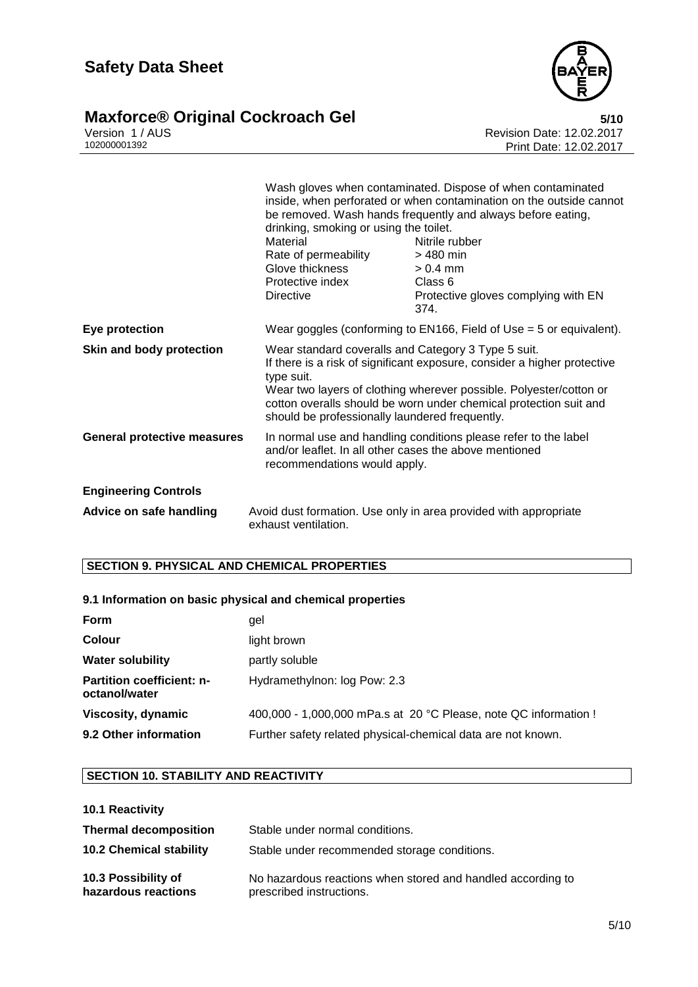

### **Maxforce®** Original Cockroach Gel **5/10**

Version 1 / AUS Revision Date: 12.02.2017 102000001392 Print Date: 12.02.2017

|                                    | drinking, smoking or using the toilet.<br>Material<br>Rate of permeability<br>Glove thickness<br>Protective index<br><b>Directive</b>                                                                                                                                                                                                      | Wash gloves when contaminated. Dispose of when contaminated<br>inside, when perforated or when contamination on the outside cannot<br>be removed. Wash hands frequently and always before eating,<br>Nitrile rubber<br>> 480 min<br>$> 0.4$ mm<br>Class 6<br>Protective gloves complying with EN<br>374. |  |
|------------------------------------|--------------------------------------------------------------------------------------------------------------------------------------------------------------------------------------------------------------------------------------------------------------------------------------------------------------------------------------------|----------------------------------------------------------------------------------------------------------------------------------------------------------------------------------------------------------------------------------------------------------------------------------------------------------|--|
| <b>Eye protection</b>              |                                                                                                                                                                                                                                                                                                                                            | Wear goggles (conforming to EN166, Field of Use $=$ 5 or equivalent).                                                                                                                                                                                                                                    |  |
| <b>Skin and body protection</b>    | Wear standard coveralls and Category 3 Type 5 suit.<br>If there is a risk of significant exposure, consider a higher protective<br>type suit.<br>Wear two layers of clothing wherever possible. Polyester/cotton or<br>cotton overalls should be worn under chemical protection suit and<br>should be professionally laundered frequently. |                                                                                                                                                                                                                                                                                                          |  |
| <b>General protective measures</b> | In normal use and handling conditions please refer to the label<br>and/or leaflet. In all other cases the above mentioned<br>recommendations would apply.                                                                                                                                                                                  |                                                                                                                                                                                                                                                                                                          |  |
| <b>Engineering Controls</b>        |                                                                                                                                                                                                                                                                                                                                            |                                                                                                                                                                                                                                                                                                          |  |
| Advice on safe handling            | exhaust ventilation.                                                                                                                                                                                                                                                                                                                       | Avoid dust formation. Use only in area provided with appropriate                                                                                                                                                                                                                                         |  |

### **SECTION 9. PHYSICAL AND CHEMICAL PROPERTIES**

#### **9.1 Information on basic physical and chemical properties**

| Form                                              | gel                                                              |
|---------------------------------------------------|------------------------------------------------------------------|
| <b>Colour</b>                                     | light brown                                                      |
| <b>Water solubility</b>                           | partly soluble                                                   |
| <b>Partition coefficient: n-</b><br>octanol/water | Hydramethylnon: log Pow: 2.3                                     |
| Viscosity, dynamic                                | 400,000 - 1,000,000 mPa.s at 20 °C Please, note QC information ! |
| 9.2 Other information                             | Further safety related physical-chemical data are not known.     |

#### **SECTION 10. STABILITY AND REACTIVITY**

| 10.1 Reactivity |
|-----------------|
|                 |

| <b>Thermal decomposition</b>               | Stable under normal conditions.                                                         |
|--------------------------------------------|-----------------------------------------------------------------------------------------|
| <b>10.2 Chemical stability</b>             | Stable under recommended storage conditions.                                            |
| 10.3 Possibility of<br>hazardous reactions | No hazardous reactions when stored and handled according to<br>prescribed instructions. |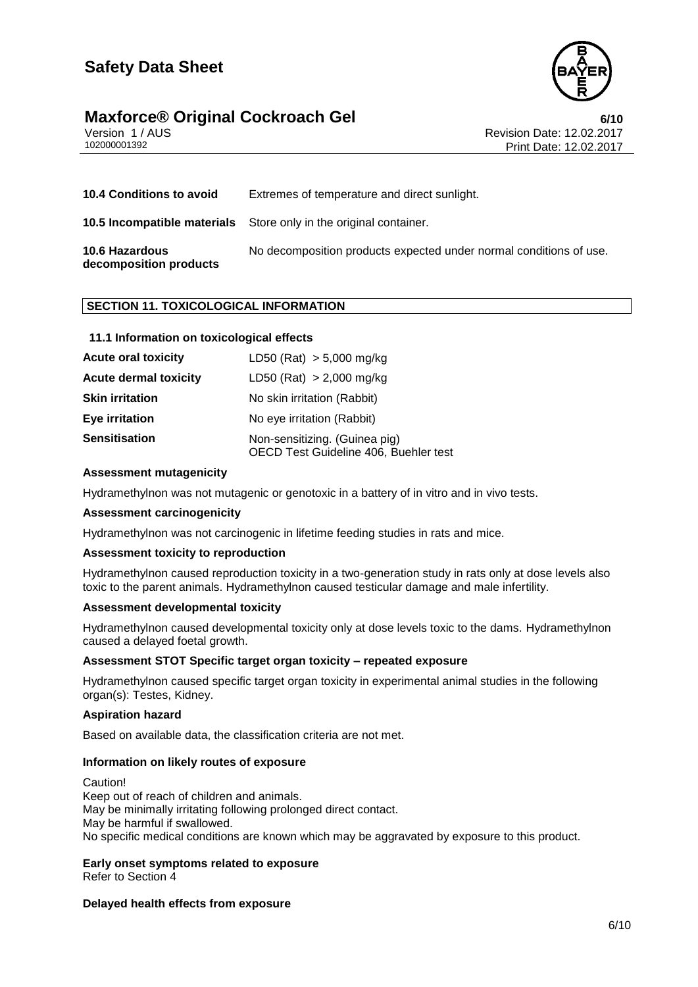

# **Maxforce® Original Cockroach Gel**<br>Version 1/AUS **COCKROACH Gel** Revision Date: 12.02.2017

Version 1 / AUS<br>10200001392<br>Print Date: 12.02.2017 Print Date: 12.02.2017

| <b>10.4 Conditions to avoid</b>                 | Extremes of temperature and direct sunlight.                             |
|-------------------------------------------------|--------------------------------------------------------------------------|
|                                                 | <b>10.5 Incompatible materials</b> Store only in the original container. |
| <b>10.6 Hazardous</b><br>decomposition products | No decomposition products expected under normal conditions of use.       |

#### **SECTION 11. TOXICOLOGICAL INFORMATION**

#### **11.1 Information on toxicological effects**

| <b>Acute oral toxicity</b>   | LD50 (Rat) $> 5,000$ mg/kg                                             |
|------------------------------|------------------------------------------------------------------------|
| <b>Acute dermal toxicity</b> | LD50 (Rat) $> 2,000$ mg/kg                                             |
| <b>Skin irritation</b>       | No skin irritation (Rabbit)                                            |
| <b>Eye irritation</b>        | No eye irritation (Rabbit)                                             |
| <b>Sensitisation</b>         | Non-sensitizing. (Guinea pig)<br>OECD Test Guideline 406, Buehler test |

#### **Assessment mutagenicity**

Hydramethylnon was not mutagenic or genotoxic in a battery of in vitro and in vivo tests.

#### **Assessment carcinogenicity**

Hydramethylnon was not carcinogenic in lifetime feeding studies in rats and mice.

#### **Assessment toxicity to reproduction**

Hydramethylnon caused reproduction toxicity in a two-generation study in rats only at dose levels also toxic to the parent animals. Hydramethylnon caused testicular damage and male infertility.

#### **Assessment developmental toxicity**

Hydramethylnon caused developmental toxicity only at dose levels toxic to the dams. Hydramethylnon caused a delayed foetal growth.

#### **Assessment STOT Specific target organ toxicity – repeated exposure**

Hydramethylnon caused specific target organ toxicity in experimental animal studies in the following organ(s): Testes, Kidney.

#### **Aspiration hazard**

Based on available data, the classification criteria are not met.

#### **Information on likely routes of exposure**

Caution! Keep out of reach of children and animals. May be minimally irritating following prolonged direct contact. May be harmful if swallowed. No specific medical conditions are known which may be aggravated by exposure to this product.

# **Early onset symptoms related to exposure**

Refer to Section 4

#### **Delayed health effects from exposure**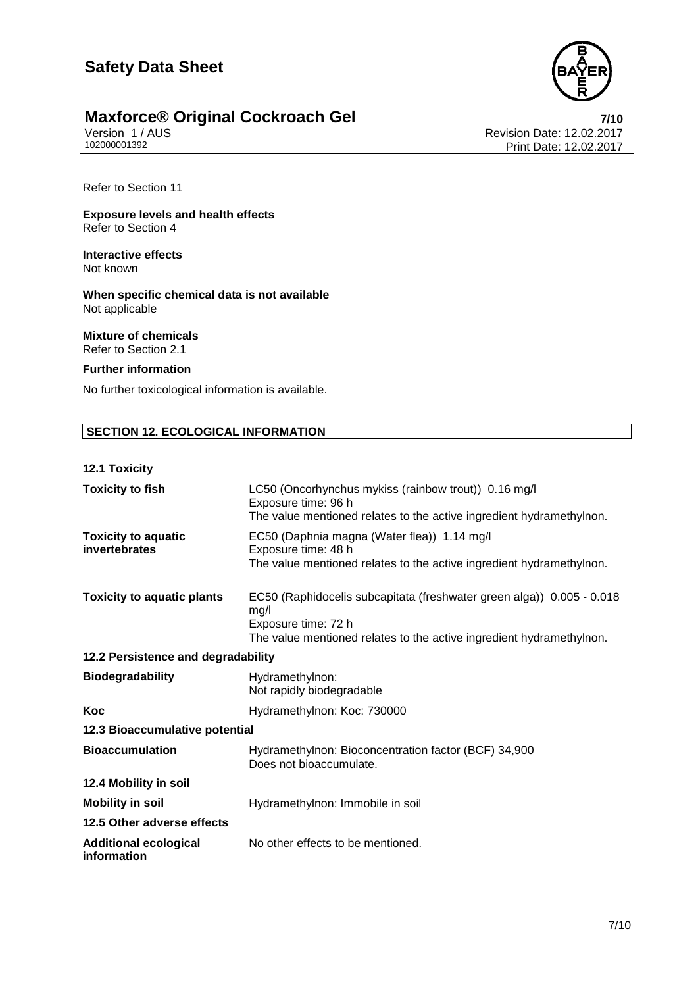

# **Maxforce® Original Cockroach Gel** *Revision 1/AUS Propersion 1/AUS*

Version 1 / AUS **Revision Date: 12.02.2017**<br>102000001392 Print Date: 12.02.2017 Print Date: 12.02.2017

Refer to Section 11

**Exposure levels and health effects** Refer to Section 4

**Interactive effects** Not known

**When specific chemical data is not available** Not applicable

**Mixture of chemicals** Refer to Section 2.1

#### **Further information**

No further toxicological information is available.

#### **SECTION 12. ECOLOGICAL INFORMATION**

#### **12.1 Toxicity**

| <b>Toxicity to fish</b>                     | LC50 (Oncorhynchus mykiss (rainbow trout)) 0.16 mg/l<br>Exposure time: 96 h<br>The value mentioned relates to the active ingredient hydramethylnon.                          |  |
|---------------------------------------------|------------------------------------------------------------------------------------------------------------------------------------------------------------------------------|--|
| <b>Toxicity to aquatic</b><br>invertebrates | EC50 (Daphnia magna (Water flea)) 1.14 mg/l<br>Exposure time: 48 h<br>The value mentioned relates to the active ingredient hydramethylnon.                                   |  |
| <b>Toxicity to aquatic plants</b>           | EC50 (Raphidocelis subcapitata (freshwater green alga)) 0.005 - 0.018<br>mg/l<br>Exposure time: 72 h<br>The value mentioned relates to the active ingredient hydramethylnon. |  |
| 12.2 Persistence and degradability          |                                                                                                                                                                              |  |
| <b>Biodegradability</b>                     | Hydramethylnon:<br>Not rapidly biodegradable                                                                                                                                 |  |
| Koc                                         | Hydramethylnon: Koc: 730000                                                                                                                                                  |  |
| 12.3 Bioaccumulative potential              |                                                                                                                                                                              |  |
| <b>Bioaccumulation</b>                      | Hydramethylnon: Bioconcentration factor (BCF) 34,900<br>Does not bioaccumulate.                                                                                              |  |
| 12.4 Mobility in soil                       |                                                                                                                                                                              |  |
| <b>Mobility in soil</b>                     | Hydramethylnon: Immobile in soil                                                                                                                                             |  |
| 12.5 Other adverse effects                  |                                                                                                                                                                              |  |
| <b>Additional ecological</b><br>information | No other effects to be mentioned.                                                                                                                                            |  |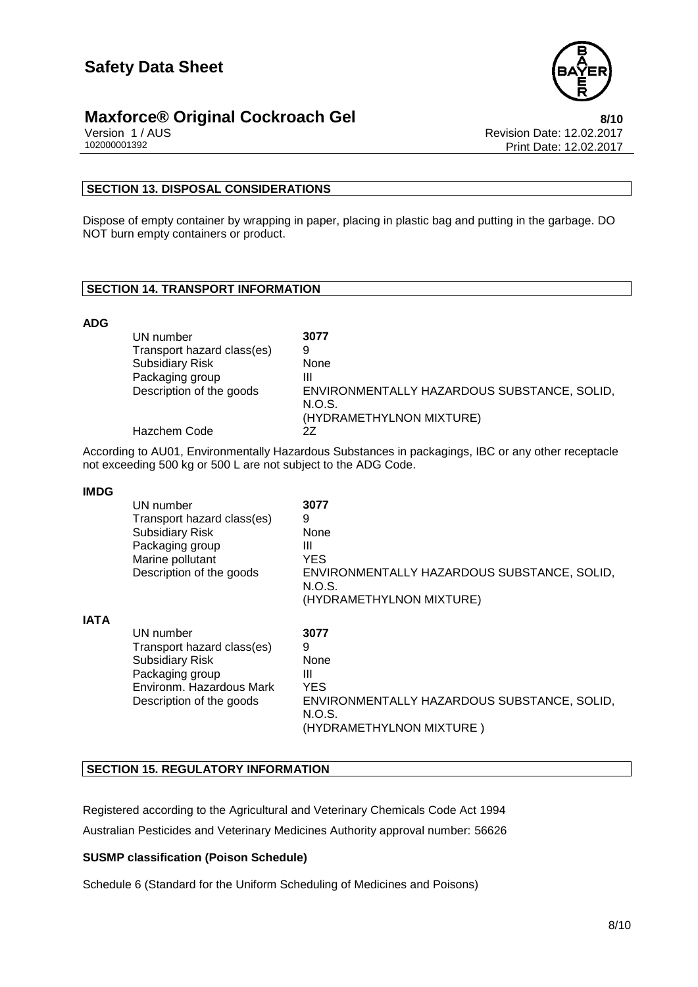



Version 1 / AUS<br>10200001392<br>Print Date: 12.02.2017<br>Rint Date: 12.02.2017 Print Date: 12.02.2017

#### **SECTION 13. DISPOSAL CONSIDERATIONS**

Dispose of empty container by wrapping in paper, placing in plastic bag and putting in the garbage. DO NOT burn empty containers or product.

#### **SECTION 14. TRANSPORT INFORMATION**

#### **ADG**

| UN number                  | 3077                                                  |
|----------------------------|-------------------------------------------------------|
| Transport hazard class(es) | 9                                                     |
| <b>Subsidiary Risk</b>     | None                                                  |
| Packaging group            | Ш                                                     |
| Description of the goods   | ENVIRONMENTALLY HAZARDOUS SUBSTANCE, SOLID,<br>N.O.S. |
|                            | (HYDRAMETHYLNON MIXTURE)                              |
| <b>Hazchem Code</b>        | 27                                                    |

According to AU01, Environmentally Hazardous Substances in packagings, IBC or any other receptacle not exceeding 500 kg or 500 L are not subject to the ADG Code.

#### **IMDG**

|             | UN number<br>Transport hazard class(es)<br><b>Subsidiary Risk</b><br>Packaging group<br>Marine pollutant<br>Description of the goods         | 3077<br>9<br>None<br>Ш<br><b>YES</b><br>ENVIRONMENTALLY HAZARDOUS SUBSTANCE, SOLID,<br>N.O.S.<br>(HYDRAMETHYLNON MIXTURE) |
|-------------|----------------------------------------------------------------------------------------------------------------------------------------------|---------------------------------------------------------------------------------------------------------------------------|
| <b>IATA</b> | UN number<br>Transport hazard class(es)<br><b>Subsidiary Risk</b><br>Packaging group<br>Environm. Hazardous Mark<br>Description of the goods | 3077<br>9<br>None<br>Ш<br><b>YES</b><br>ENVIRONMENTALLY HAZARDOUS SUBSTANCE, SOLID,<br>N.O.S.<br>(HYDRAMETHYLNON MIXTURE) |

#### **SECTION 15. REGULATORY INFORMATION**

Registered according to the Agricultural and Veterinary Chemicals Code Act 1994 Australian Pesticides and Veterinary Medicines Authority approval number: 56626

#### **SUSMP classification (Poison Schedule)**

Schedule 6 (Standard for the Uniform Scheduling of Medicines and Poisons)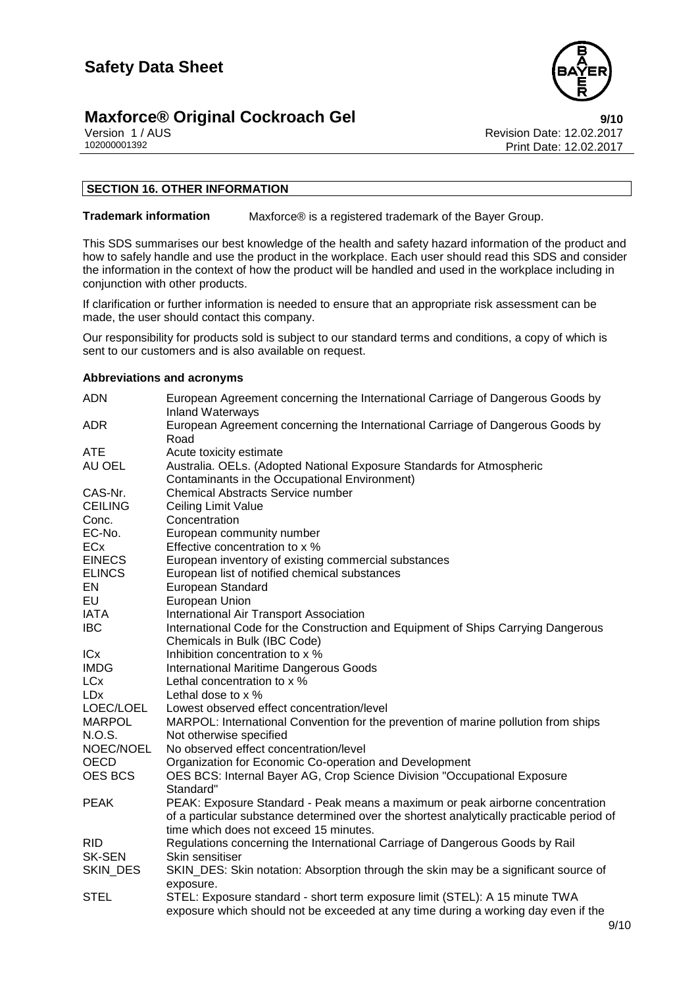# **Maxforce® Original Cockroach Gel**<br>Version 1/AUS<br>Revision Date: 12.02.2017



Version 1 / AUS<br>10200001392<br>Print Date: 12.02.2017<br>Rint Date: 12.02.2017 Print Date: 12.02.2017

#### **SECTION 16. OTHER INFORMATION**

**Trademark information** Maxforce® is a registered trademark of the Bayer Group.

This SDS summarises our best knowledge of the health and safety hazard information of the product and how to safely handle and use the product in the workplace. Each user should read this SDS and consider the information in the context of how the product will be handled and used in the workplace including in conjunction with other products.

If clarification or further information is needed to ensure that an appropriate risk assessment can be made, the user should contact this company.

Our responsibility for products sold is subject to our standard terms and conditions, a copy of which is sent to our customers and is also available on request.

#### **Abbreviations and acronyms**

| <b>ADN</b>     | European Agreement concerning the International Carriage of Dangerous Goods by<br><b>Inland Waterways</b>              |
|----------------|------------------------------------------------------------------------------------------------------------------------|
| <b>ADR</b>     | European Agreement concerning the International Carriage of Dangerous Goods by<br>Road                                 |
| <b>ATE</b>     | Acute toxicity estimate                                                                                                |
| AU OEL         | Australia. OELs. (Adopted National Exposure Standards for Atmospheric<br>Contaminants in the Occupational Environment) |
| CAS-Nr.        | <b>Chemical Abstracts Service number</b>                                                                               |
| <b>CEILING</b> | <b>Ceiling Limit Value</b>                                                                                             |
| Conc.          | Concentration                                                                                                          |
| EC-No.         | European community number                                                                                              |
| ECx            | Effective concentration to x %                                                                                         |
| <b>EINECS</b>  | European inventory of existing commercial substances                                                                   |
| <b>ELINCS</b>  | European list of notified chemical substances                                                                          |
| EN             | European Standard                                                                                                      |
| EU             | European Union                                                                                                         |
| <b>IATA</b>    | International Air Transport Association                                                                                |
| <b>IBC</b>     | International Code for the Construction and Equipment of Ships Carrying Dangerous                                      |
|                | Chemicals in Bulk (IBC Code)                                                                                           |
| ICx            | Inhibition concentration to x %                                                                                        |
| <b>IMDG</b>    | <b>International Maritime Dangerous Goods</b>                                                                          |
| <b>LCx</b>     | Lethal concentration to x %                                                                                            |
| <b>LDx</b>     | Lethal dose to x %                                                                                                     |
| LOEC/LOEL      | Lowest observed effect concentration/level                                                                             |
| <b>MARPOL</b>  | MARPOL: International Convention for the prevention of marine pollution from ships                                     |
| N.O.S.         | Not otherwise specified                                                                                                |
| NOEC/NOEL      | No observed effect concentration/level                                                                                 |
| <b>OECD</b>    | Organization for Economic Co-operation and Development                                                                 |
| <b>OES BCS</b> | OES BCS: Internal Bayer AG, Crop Science Division "Occupational Exposure                                               |
|                | Standard"                                                                                                              |
| <b>PEAK</b>    | PEAK: Exposure Standard - Peak means a maximum or peak airborne concentration                                          |
|                | of a particular substance determined over the shortest analytically practicable period of                              |
|                | time which does not exceed 15 minutes.                                                                                 |
| <b>RID</b>     | Regulations concerning the International Carriage of Dangerous Goods by Rail                                           |
| <b>SK-SEN</b>  | Skin sensitiser                                                                                                        |
| SKIN_DES       | SKIN_DES: Skin notation: Absorption through the skin may be a significant source of                                    |
|                | exposure.                                                                                                              |
| <b>STEL</b>    | STEL: Exposure standard - short term exposure limit (STEL): A 15 minute TWA                                            |
|                | exposure which should not be exceeded at any time during a working day even if the                                     |